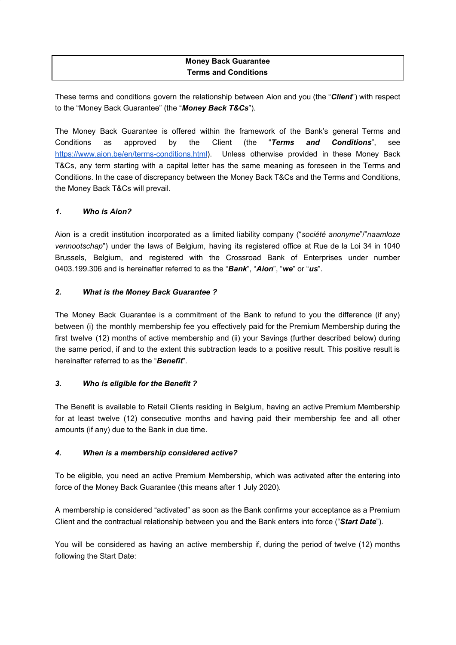# **Money Back Guarantee Terms and Conditions**

These terms and conditions govern the relationship between Aion and you (the "*Client*") with respect to the "Money Back Guarantee" (the "*Money Back T&Cs*").

The Money Back Guarantee is offered within the framework of the Bank's general Terms and Conditions as approved by the Client (the "*Terms and Conditions*", see <https://www.aion.be/en/terms-conditions.html>). Unless otherwise provided in these Money Back T&Cs, any term starting with a capital letter has the same meaning as foreseen in the Terms and Conditions. In the case of discrepancy between the Money Back T&Cs and the Terms and Conditions, the Money Back T&Cs will prevail.

## *1. Who is Aion?*

Aion is a credit institution incorporated as a limited liability company ("*société anonyme*"/"*naamloze vennootschap*") under the laws of Belgium, having its registered office at Rue de la Loi 34 in 1040 Brussels, Belgium, and registered with the Crossroad Bank of Enterprises under number 0403.199.306 and is hereinafter referred to as the "*Bank*", "*Aion*", "*we*" or "*us*".

#### *2. What is the Money Back Guarantee ?*

The Money Back Guarantee is a commitment of the Bank to refund to you the difference (if any) between (i) the monthly membership fee you effectively paid for the Premium Membership during the first twelve (12) months of active membership and (ii) your Savings (further described below) during the same period, if and to the extent this subtraction leads to a positive result. This positive result is hereinafter referred to as the "*Benefit*".

## *3. Who is eligible for the Benefit ?*

The Benefit is available to Retail Clients residing in Belgium, having an active Premium Membership for at least twelve (12) consecutive months and having paid their membership fee and all other amounts (if any) due to the Bank in due time.

## *4. When is a membership considered active?*

To be eligible, you need an active Premium Membership, which was activated after the entering into force of the Money Back Guarantee (this means after 1 July 2020).

A membership is considered "activated" as soon as the Bank confirms your acceptance as a Premium Client and the contractual relationship between you and the Bank enters into force ("*Start Date*").

You will be considered as having an active membership if, during the period of twelve (12) months following the Start Date: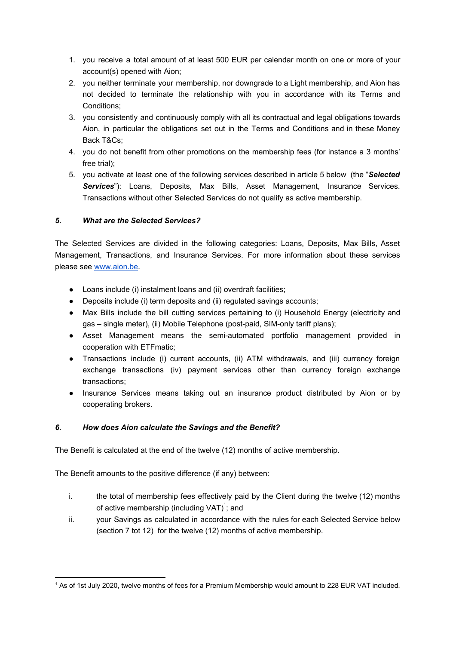- 1. you receive a total amount of at least 500 EUR per calendar month on one or more of your account(s) opened with Aion;
- 2. you neither terminate your membership, nor downgrade to a Light membership, and Aion has not decided to terminate the relationship with you in accordance with its Terms and Conditions;
- 3. you consistently and continuously comply with all its contractual and legal obligations towards Aion, in particular the obligations set out in the Terms and Conditions and in these Money Back T&Cs;
- 4. you do not benefit from other promotions on the membership fees (for instance a 3 months' free trial);
- 5. you activate at least one of the following services described in article 5 below (the "*Selected Services*"): Loans, Deposits, Max Bills, Asset Management, Insurance Services. Transactions without other Selected Services do not qualify as active membership.

# *5. What are the Selected Services?*

The Selected Services are divided in the following categories: Loans, Deposits, Max Bills, Asset Management, Transactions, and Insurance Services. For more information about these services please see [www.aion.be](http://www.aion.be/).

- Loans include (i) instalment loans and (ii) overdraft facilities;
- Deposits include (i) term deposits and (ii) regulated savings accounts;
- Max Bills include the bill cutting services pertaining to (i) Household Energy (electricity and gas – single meter), (ii) Mobile Telephone (post-paid, SIM-only tariff plans);
- Asset Management means the semi-automated portfolio management provided in cooperation with ETFmatic;
- Transactions include (i) current accounts, (ii) ATM withdrawals, and (iii) currency foreign exchange transactions (iv) payment services other than currency foreign exchange transactions;
- Insurance Services means taking out an insurance product distributed by Aion or by cooperating brokers.

# *6. How does Aion calculate the Savings and the Benefit?*

The Benefit is calculated at the end of the twelve (12) months of active membership.

The Benefit amounts to the positive difference (if any) between:

- i. the total of membership fees effectively paid by the Client during the twelve (12) months of active membership (including VAT) $\dot{ }$ ; and
- ii. your Savings as calculated in accordance with the rules for each Selected Service below (section 7 tot 12) for the twelve (12) months of active membership.

<sup>&</sup>lt;sup>1</sup> As of 1st July 2020, twelve months of fees for a Premium Membership would amount to 228 EUR VAT included.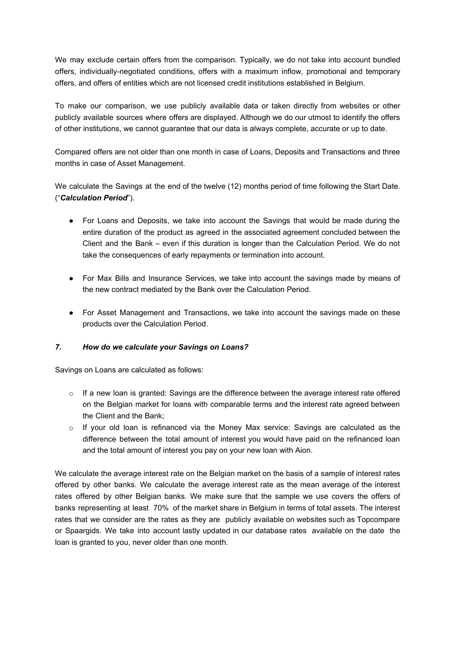We may exclude certain offers from the comparison. Typically, we do not take into account bundled offers, individually-negotiated conditions, offers with a maximum inflow, promotional and temporary offers, and offers of entities which are not licensed credit institutions established in Belgium.

To make our comparison, we use publicly available data or taken directly from websites or other publicly available sources where offers are displayed. Although we do our utmost to identify the offers of other institutions, we cannot guarantee that our data is always complete, accurate or up to date.

Compared offers are not older than one month in case of Loans, Deposits and Transactions and three months in case of Asset Management.

We calculate the Savings at the end of the twelve (12) months period of time following the Start Date. ("*Calculation Period*").

- For Loans and Deposits, we take into account the Savings that would be made during the entire duration of the product as agreed in the associated agreement concluded between the Client and the Bank – even if this duration is longer than the Calculation Period. We do not take the consequences of early repayments or termination into account.
- For Max Bills and Insurance Services, we take into account the savings made by means of the new contract mediated by the Bank over the Calculation Period.
- For Asset Management and Transactions, we take into account the savings made on these products over the Calculation Period.

## *7. How do we calculate your Savings on Loans?*

Savings on Loans are calculated as follows:

- $\circ$  If a new loan is granted: Savings are the difference between the average interest rate offered on the Belgian market for loans with comparable terms and the interest rate agreed between the Client and the Bank;
- o If your old loan is refinanced via the Money Max service: Savings are calculated as the difference between the total amount of interest you would have paid on the refinanced loan and the total amount of interest you pay on your new loan with Aion.

We calculate the average interest rate on the Belgian market on the basis of a sample of interest rates offered by other banks. We calculate the average interest rate as the mean average of the interest rates offered by other Belgian banks. We make sure that the sample we use covers the offers of banks representing at least 70% of the market share in Belgium in terms of total assets. The interest rates that we consider are the rates as they are publicly available on websites such as Topcompare or Spaargids. We take into account lastly updated in our database rates available on the date the loan is granted to you, never older than one month.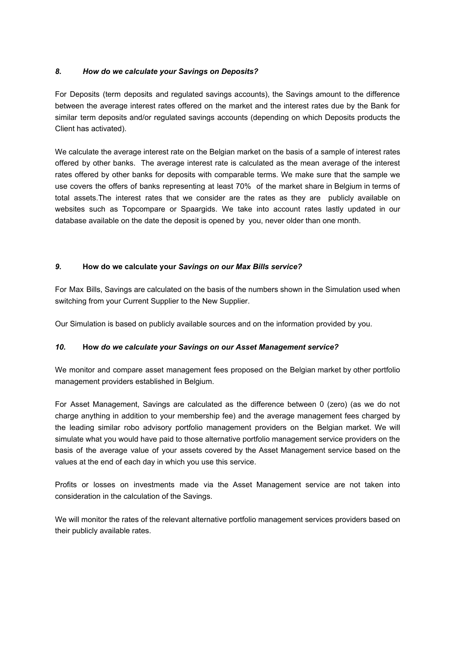## *8. How do we calculate your Savings on Deposits?*

For Deposits (term deposits and regulated savings accounts), the Savings amount to the difference between the average interest rates offered on the market and the interest rates due by the Bank for similar term deposits and/or regulated savings accounts (depending on which Deposits products the Client has activated).

We calculate the average interest rate on the Belgian market on the basis of a sample of interest rates offered by other banks. The average interest rate is calculated as the mean average of the interest rates offered by other banks for deposits with comparable terms. We make sure that the sample we use covers the offers of banks representing at least 70% of the market share in Belgium in terms of total assets.The interest rates that we consider are the rates as they are publicly available on websites such as Topcompare or Spaargids. We take into account rates lastly updated in our database available on the date the deposit is opened by you, never older than one month.

#### *9.* **How do we calculate your** *Savings on our Max Bills service?*

For Max Bills, Savings are calculated on the basis of the numbers shown in the Simulation used when switching from your Current Supplier to the New Supplier.

Our Simulation is based on publicly available sources and on the information provided by you.

#### *10.* **How** *do we calculate your Savings on our Asset Management service?*

We monitor and compare asset management fees proposed on the Belgian market by other portfolio management providers established in Belgium.

For Asset Management, Savings are calculated as the difference between 0 (zero) (as we do not charge anything in addition to your membership fee) and the average management fees charged by the leading similar robo advisory portfolio management providers on the Belgian market. We will simulate what you would have paid to those alternative portfolio management service providers on the basis of the average value of your assets covered by the Asset Management service based on the values at the end of each day in which you use this service.

Profits or losses on investments made via the Asset Management service are not taken into consideration in the calculation of the Savings.

We will monitor the rates of the relevant alternative portfolio management services providers based on their publicly available rates.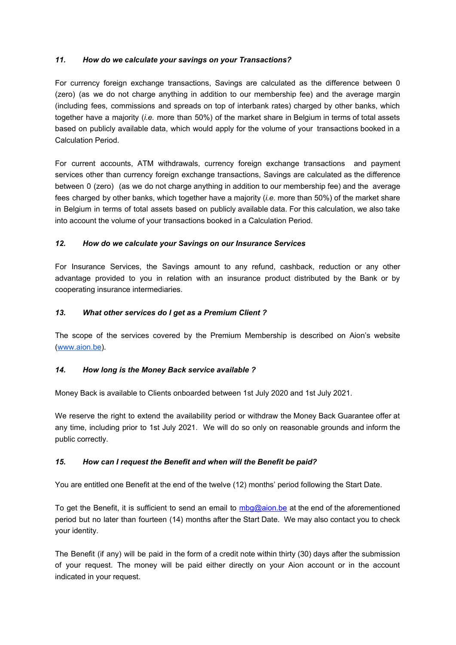## *11. How do we calculate your savings on your Transactions?*

For currency foreign exchange transactions, Savings are calculated as the difference between 0 (zero) (as we do not charge anything in addition to our membership fee) and the average margin (including fees, commissions and spreads on top of interbank rates) charged by other banks, which together have a majority (*i.e.* more than 50%) of the market share in Belgium in terms of total assets based on publicly available data, which would apply for the volume of your transactions booked in a Calculation Period.

For current accounts, ATM withdrawals, currency foreign exchange transactions and payment services other than currency foreign exchange transactions, Savings are calculated as the difference between 0 (zero) (as we do not charge anything in addition to our membership fee) and the average fees charged by other banks, which together have a majority (*i.e.* more than 50%) of the market share in Belgium in terms of total assets based on publicly available data. For this calculation, we also take into account the volume of your transactions booked in a Calculation Period.

#### *12. How do we calculate your Savings on our Insurance Services*

For Insurance Services, the Savings amount to any refund, cashback, reduction or any other advantage provided to you in relation with an insurance product distributed by the Bank or by cooperating insurance intermediaries.

#### *13. What other services do I get as a Premium Client ?*

The scope of the services covered by the Premium Membership is described on Aion's website [\(www.aion.be\)](http://www.aion.be/).

## *14. How long is the Money Back service available ?*

Money Back is available to Clients onboarded between 1st July 2020 and 1st July 2021.

We reserve the right to extend the availability period or withdraw the Money Back Guarantee offer at any time, including prior to 1st July 2021. We will do so only on reasonable grounds and inform the public correctly.

## *15. How can I request the Benefit and when will the Benefit be paid?*

You are entitled one Benefit at the end of the twelve (12) months' period following the Start Date.

To get the Benefit, it is sufficient to send an email to [mbg@aion.be](mailto:mbg@aion.be) at the end of the aforementioned period but no later than fourteen (14) months after the Start Date. We may also contact you to check your identity.

The Benefit (if any) will be paid in the form of a credit note within thirty (30) days after the submission of your request. The money will be paid either directly on your Aion account or in the account indicated in your request.